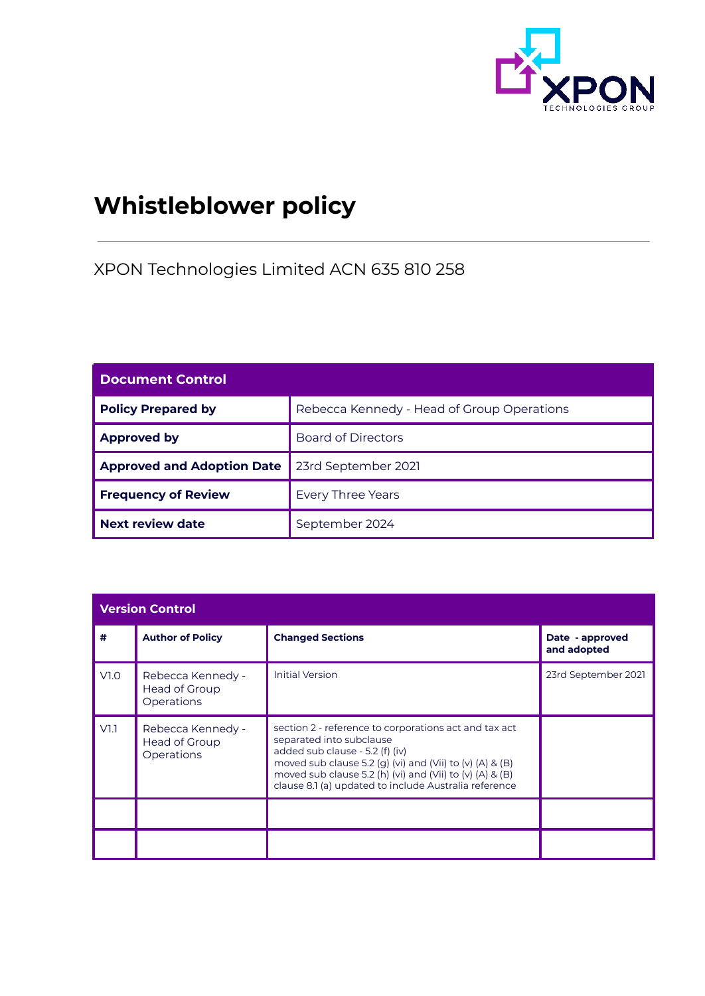

# **Whistleblower policy**

XPON Technologies Limited ACN 635 810 258

| <b>Document Control</b>           |                                            |  |
|-----------------------------------|--------------------------------------------|--|
| <b>Policy Prepared by</b>         | Rebecca Kennedy - Head of Group Operations |  |
| <b>Approved by</b>                | <b>Board of Directors</b>                  |  |
| <b>Approved and Adoption Date</b> | 23rd September 2021                        |  |
| <b>Frequency of Review</b>        | <b>Every Three Years</b>                   |  |
| <b>Next review date</b>           | September 2024                             |  |

| <b>Version Control</b> |                                                         |                                                                                                                                                                                                                                                                                                       |                                |  |
|------------------------|---------------------------------------------------------|-------------------------------------------------------------------------------------------------------------------------------------------------------------------------------------------------------------------------------------------------------------------------------------------------------|--------------------------------|--|
| #                      | <b>Author of Policy</b>                                 | <b>Changed Sections</b>                                                                                                                                                                                                                                                                               | Date - approved<br>and adopted |  |
| V1.0                   | Rebecca Kennedy -<br>Head of Group<br><b>Operations</b> | <b>Initial Version</b>                                                                                                                                                                                                                                                                                | 23rd September 2021            |  |
| V1.1                   | Rebecca Kennedy -<br>Head of Group<br>Operations        | section 2 - reference to corporations act and tax act<br>separated into subclause<br>added sub clause - 5.2 (f) (iv)<br>moved sub clause 5.2 (g) (vi) and (Vii) to (v) (A) & (B)<br>moved sub clause 5.2 (h) (vi) and (Vii) to (v) (A) & (B)<br>clause 8.1 (a) updated to include Australia reference |                                |  |
|                        |                                                         |                                                                                                                                                                                                                                                                                                       |                                |  |
|                        |                                                         |                                                                                                                                                                                                                                                                                                       |                                |  |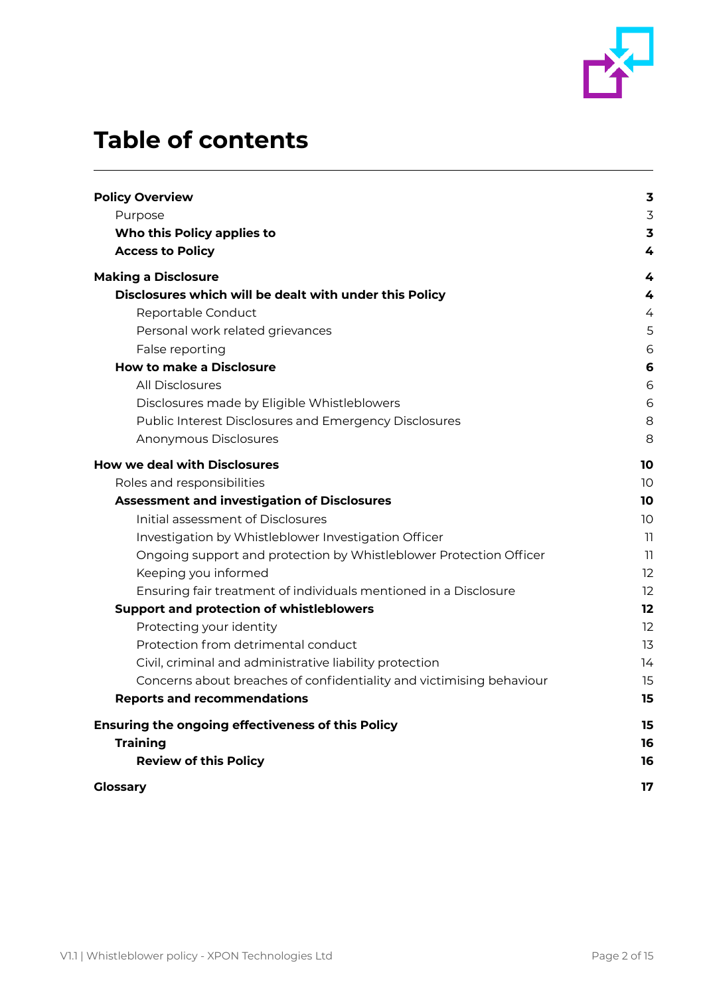

# **Table of contents**

| <b>Policy Overview</b>                                               | $\overline{\mathbf{3}}$ |
|----------------------------------------------------------------------|-------------------------|
| Purpose                                                              | $\overline{3}$          |
| Who this Policy applies to                                           | $\overline{\mathbf{3}}$ |
| <b>Access to Policy</b>                                              | 4                       |
| <b>Making a Disclosure</b>                                           | 4                       |
| Disclosures which will be dealt with under this Policy               | 4                       |
| Reportable Conduct                                                   | 4                       |
| Personal work related grievances                                     | 5                       |
| False reporting                                                      | 6                       |
| <b>How to make a Disclosure</b>                                      | 6                       |
| All Disclosures                                                      | 6                       |
| Disclosures made by Eligible Whistleblowers                          | 6                       |
| Public Interest Disclosures and Emergency Disclosures                | 8                       |
| Anonymous Disclosures                                                | 8                       |
| <b>How we deal with Disclosures</b>                                  | 10                      |
| Roles and responsibilities                                           | 10                      |
| <b>Assessment and investigation of Disclosures</b>                   | 10                      |
| Initial assessment of Disclosures                                    | 10                      |
| Investigation by Whistleblower Investigation Officer                 | 11                      |
| Ongoing support and protection by Whistleblower Protection Officer   | 11                      |
| Keeping you informed                                                 | 12                      |
| Ensuring fair treatment of individuals mentioned in a Disclosure     | 12                      |
| <b>Support and protection of whistleblowers</b>                      | 12                      |
| Protecting your identity                                             | 12                      |
| Protection from detrimental conduct                                  | 13                      |
| Civil, criminal and administrative liability protection              | 14                      |
| Concerns about breaches of confidentiality and victimising behaviour | 15                      |
| <b>Reports and recommendations</b>                                   | 15                      |
| Ensuring the ongoing effectiveness of this Policy                    | 15                      |
| <b>Training</b>                                                      | 16                      |
| <b>Review of this Policy</b>                                         | 16                      |
| <b>Glossary</b>                                                      | 17                      |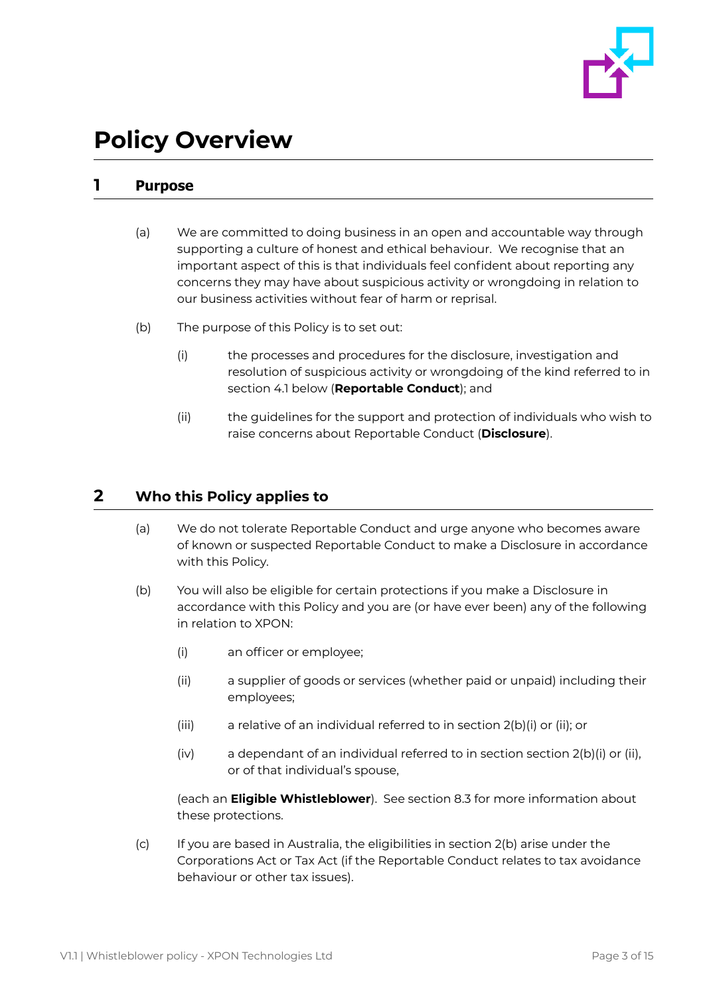

# <span id="page-2-0"></span>**Policy Overview**

# <span id="page-2-1"></span>**1 Purpose**

- (a) We are committed to doing business in an open and accountable way through supporting a culture of honest and ethical behaviour. We recognise that an important aspect of this is that individuals feel confident about reporting any concerns they may have about suspicious activity or wrongdoing in relation to our business activities without fear of harm or reprisal.
- (b) The purpose of this Policy is to set out:
	- (i) the processes and procedures for the disclosure, investigation and resolution of suspicious activity or wrongdoing of the kind referred to in section 4.1 below (**Reportable Conduct**); and
	- (ii) the guidelines for the support and protection of individuals who wish to raise concerns about Reportable Conduct (**Disclosure**).

# <span id="page-2-2"></span>**2 Who this Policy applies to**

- (a) We do not tolerate Reportable Conduct and urge anyone who becomes aware of known or suspected Reportable Conduct to make a Disclosure in accordance with this Policy.
- (b) You will also be eligible for certain protections if you make a Disclosure in accordance with this Policy and you are (or have ever been) any of the following in relation to XPON:
	- (i) an officer or employee;
	- (ii) a supplier of goods or services (whether paid or unpaid) including their employees;
	- (iii) a relative of an individual referred to in section 2(b)(i) or (ii); or
	- (iv) a dependant of an individual referred to in section section 2(b)(i) or (ii), or of that individual's spouse,

(each an **Eligible Whistleblower**). See section 8.3 for more information about these protections.

(c) If you are based in Australia, the eligibilities in section 2(b) arise under the Corporations Act or Tax Act (if the Reportable Conduct relates to tax avoidance behaviour or other tax issues).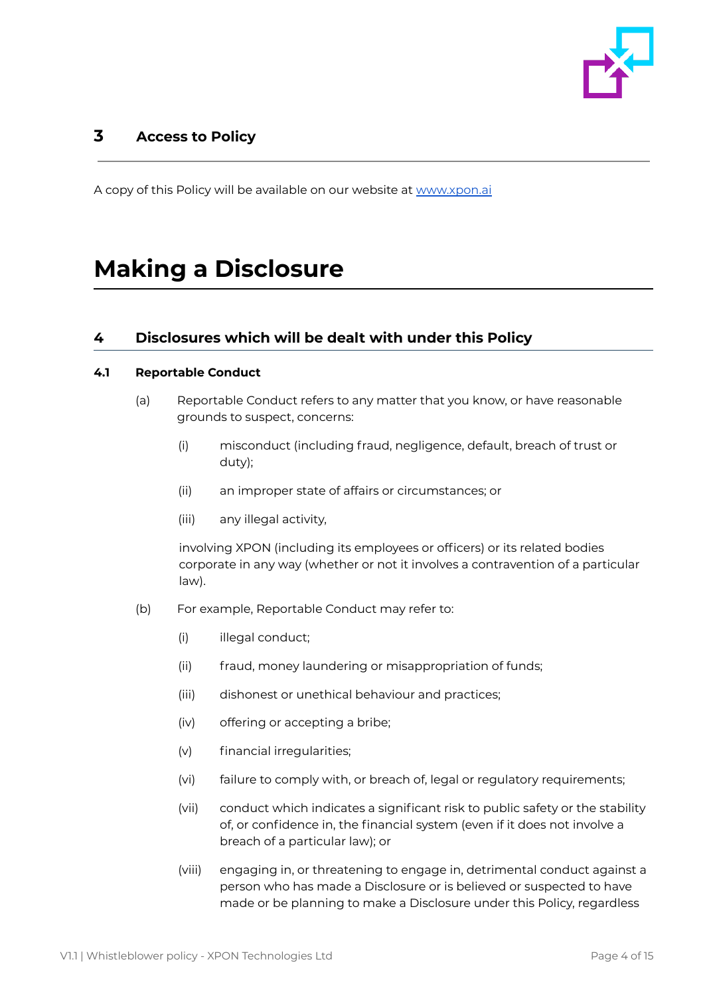

# <span id="page-3-0"></span>**3 Access to Policy**

A copy of this Policy will be available on our website at [www.xpon.ai](http://www.xpon.ai)

# <span id="page-3-1"></span>**Making a Disclosure**

## <span id="page-3-2"></span>**4 Disclosures which will be dealt with under this Policy**

### <span id="page-3-3"></span>**4.1 Reportable Conduct**

- (a) Reportable Conduct refers to any matter that you know, or have reasonable grounds to suspect, concerns:
	- (i) misconduct (including fraud, negligence, default, breach of trust or duty);
	- (ii) an improper state of affairs or circumstances; or
	- (iii) any illegal activity,

involving XPON (including its employees or officers) or its related bodies corporate in any way (whether or not it involves a contravention of a particular law).

- (b) For example, Reportable Conduct may refer to:
	- (i) illegal conduct;
	- (ii) fraud, money laundering or misappropriation of funds;
	- (iii) dishonest or unethical behaviour and practices;
	- (iv) offering or accepting a bribe;
	- (v) financial irregularities;
	- (vi) failure to comply with, or breach of, legal or regulatory requirements;
	- (vii) conduct which indicates a significant risk to public safety or the stability of, or confidence in, the financial system (even if it does not involve a breach of a particular law); or
	- (viii) engaging in, or threatening to engage in, detrimental conduct against a person who has made a Disclosure or is believed or suspected to have made or be planning to make a Disclosure under this Policy, regardless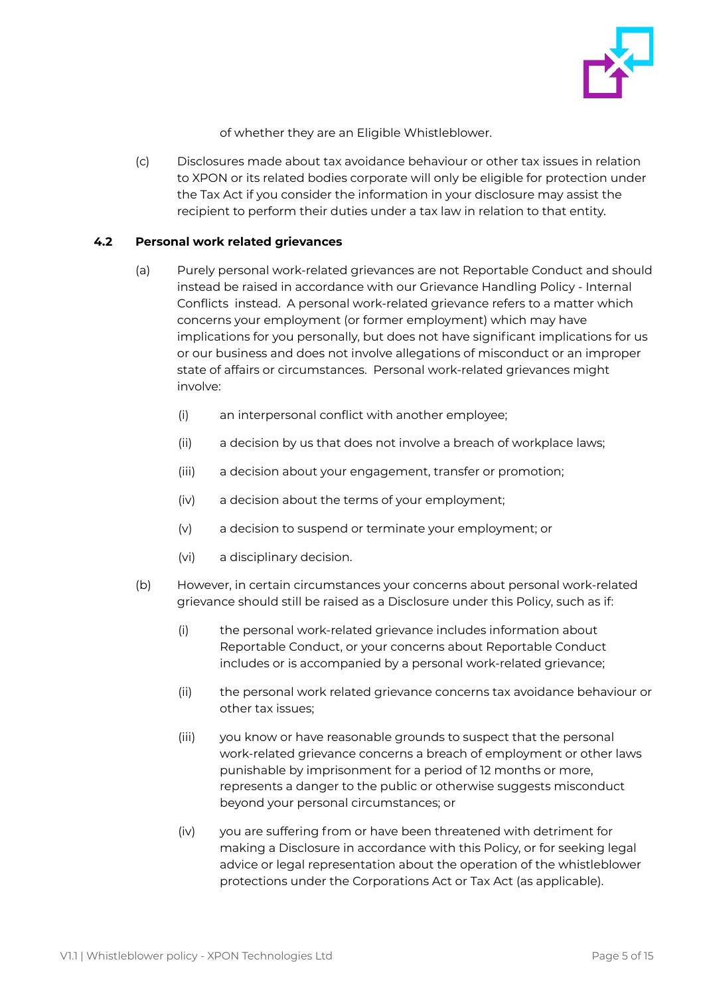

of whether they are an Eligible Whistleblower.

(c) Disclosures made about tax avoidance behaviour or other tax issues in relation to XPON or its related bodies corporate will only be eligible for protection under the Tax Act if you consider the information in your disclosure may assist the recipient to perform their duties under a tax law in relation to that entity.

#### <span id="page-4-0"></span>**4.2 Personal work related grievances**

- (a) Purely personal work-related grievances are not Reportable Conduct and should instead be raised in accordance with our Grievance Handling Policy - Internal Conflicts instead. A personal work-related grievance refers to a matter which concerns your employment (or former employment) which may have implications for you personally, but does not have significant implications for us or our business and does not involve allegations of misconduct or an improper state of affairs or circumstances. Personal work-related grievances might involve:
	- (i) an interpersonal conflict with another employee;
	- (ii) a decision by us that does not involve a breach of workplace laws;
	- (iii) a decision about your engagement, transfer or promotion;
	- (iv) a decision about the terms of your employment;
	- (v) a decision to suspend or terminate your employment; or
	- (vi) a disciplinary decision.
- (b) However, in certain circumstances your concerns about personal work-related grievance should still be raised as a Disclosure under this Policy, such as if:
	- (i) the personal work-related grievance includes information about Reportable Conduct, or your concerns about Reportable Conduct includes or is accompanied by a personal work-related grievance;
	- (ii) the personal work related grievance concerns tax avoidance behaviour or other tax issues;
	- (iii) you know or have reasonable grounds to suspect that the personal work-related grievance concerns a breach of employment or other laws punishable by imprisonment for a period of 12 months or more, represents a danger to the public or otherwise suggests misconduct beyond your personal circumstances; or
	- (iv) you are suffering from or have been threatened with detriment for making a Disclosure in accordance with this Policy, or for seeking legal advice or legal representation about the operation of the whistleblower protections under the Corporations Act or Tax Act (as applicable).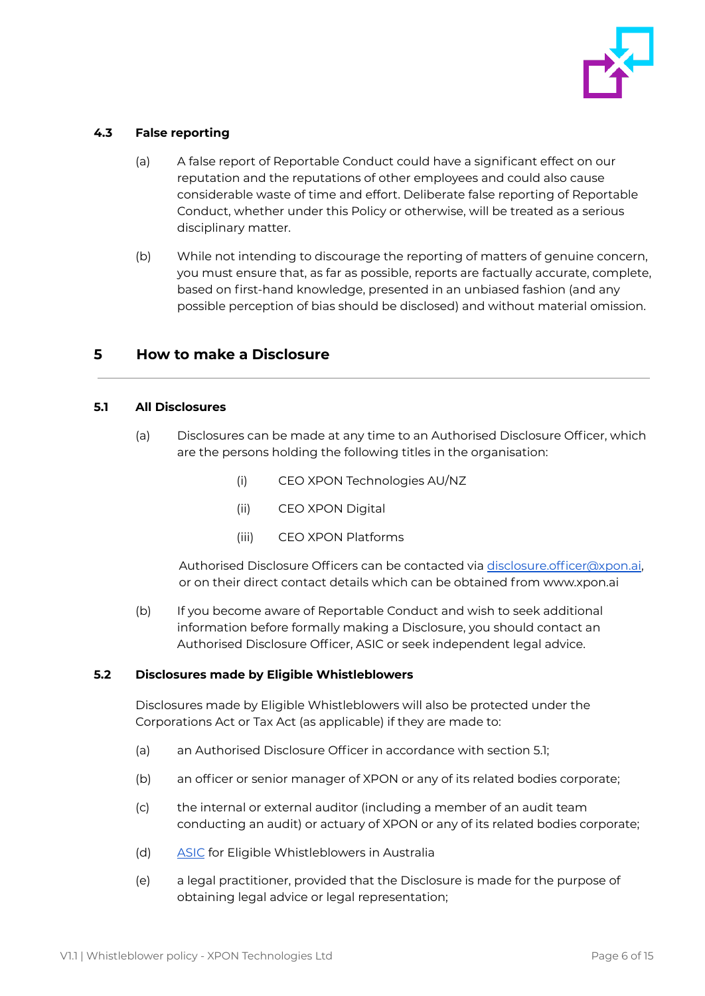

### <span id="page-5-0"></span>**4.3 False reporting**

- (a) A false report of Reportable Conduct could have a significant effect on our reputation and the reputations of other employees and could also cause considerable waste of time and effort. Deliberate false reporting of Reportable Conduct, whether under this Policy or otherwise, will be treated as a serious disciplinary matter.
- (b) While not intending to discourage the reporting of matters of genuine concern, you must ensure that, as far as possible, reports are factually accurate, complete, based on first-hand knowledge, presented in an unbiased fashion (and any possible perception of bias should be disclosed) and without material omission.

## <span id="page-5-1"></span>**5 How to make a Disclosure**

#### <span id="page-5-2"></span>**5.1 All Disclosures**

- (a) Disclosures can be made at any time to an Authorised Disclosure Officer, which are the persons holding the following titles in the organisation:
	- (i) CEO XPON Technologies AU/NZ
	- (ii) CEO XPON Digital
	- (iii) CEO XPON Platforms

Authorised Disclosure Officers can be contacted via [disclosure.officer@xpon.ai](mailto:disclosure.officer@xpon.ai), or on their direct contact details which can be obtained from www.xpon.ai

(b) If you become aware of Reportable Conduct and wish to seek additional information before formally making a Disclosure, you should contact an Authorised Disclosure Officer, ASIC or seek independent legal advice.

#### <span id="page-5-3"></span>**5.2 Disclosures made by Eligible Whistleblowers**

Disclosures made by Eligible Whistleblowers will also be protected under the Corporations Act or Tax Act (as applicable) if they are made to:

- (a) an Authorised Disclosure Officer in accordance with section 5.1;
- (b) an officer or senior manager of XPON or any of its related bodies corporate;
- (c) the internal or external auditor (including a member of an audit team conducting an audit) or actuary of XPON or any of its related bodies corporate;
- (d) [ASIC](https://asic.gov.au/about-asic/asic-investigations-and-enforcement/whistleblowing/how-asic-handles-whistleblower-reports/) for Eligible Whistleblowers in Australia
- (e) a legal practitioner, provided that the Disclosure is made for the purpose of obtaining legal advice or legal representation;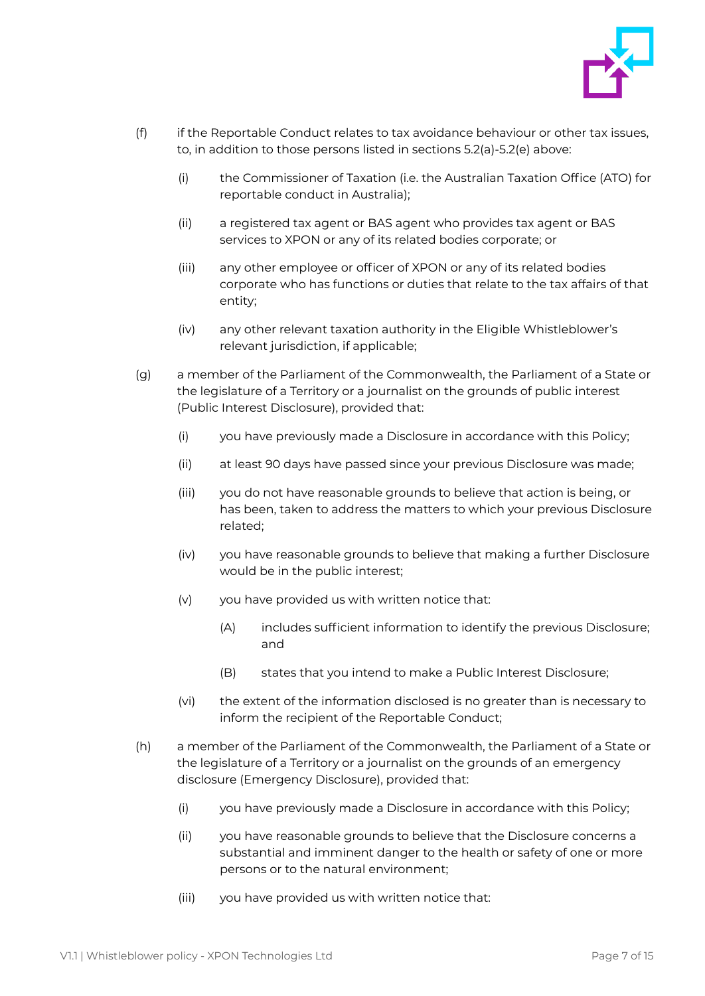

- (f) if the Reportable Conduct relates to tax avoidance behaviour or other tax issues, to, in addition to those persons listed in sections 5.2(a)-5.2(e) above:
	- (i) the Commissioner of Taxation (i.e. the Australian Taxation Office (ATO) for reportable conduct in Australia);
	- (ii) a registered tax agent or BAS agent who provides tax agent or BAS services to XPON or any of its related bodies corporate; or
	- (iii) any other employee or officer of XPON or any of its related bodies corporate who has functions or duties that relate to the tax affairs of that entity;
	- (iv) any other relevant taxation authority in the Eligible Whistleblower's relevant jurisdiction, if applicable;
- (g) a member of the Parliament of the Commonwealth, the Parliament of a State or the legislature of a Territory or a journalist on the grounds of public interest (Public Interest Disclosure), provided that:
	- (i) you have previously made a Disclosure in accordance with this Policy;
	- (ii) at least 90 days have passed since your previous Disclosure was made;
	- (iii) you do not have reasonable grounds to believe that action is being, or has been, taken to address the matters to which your previous Disclosure related;
	- (iv) you have reasonable grounds to believe that making a further Disclosure would be in the public interest;
	- (v) you have provided us with written notice that:
		- (A) includes sufficient information to identify the previous Disclosure; and
		- (B) states that you intend to make a Public Interest Disclosure;
	- (vi) the extent of the information disclosed is no greater than is necessary to inform the recipient of the Reportable Conduct;
- (h) a member of the Parliament of the Commonwealth, the Parliament of a State or the legislature of a Territory or a journalist on the grounds of an emergency disclosure (Emergency Disclosure), provided that:
	- (i) you have previously made a Disclosure in accordance with this Policy;
	- (ii) you have reasonable grounds to believe that the Disclosure concerns a substantial and imminent danger to the health or safety of one or more persons or to the natural environment;
	- (iii) you have provided us with written notice that: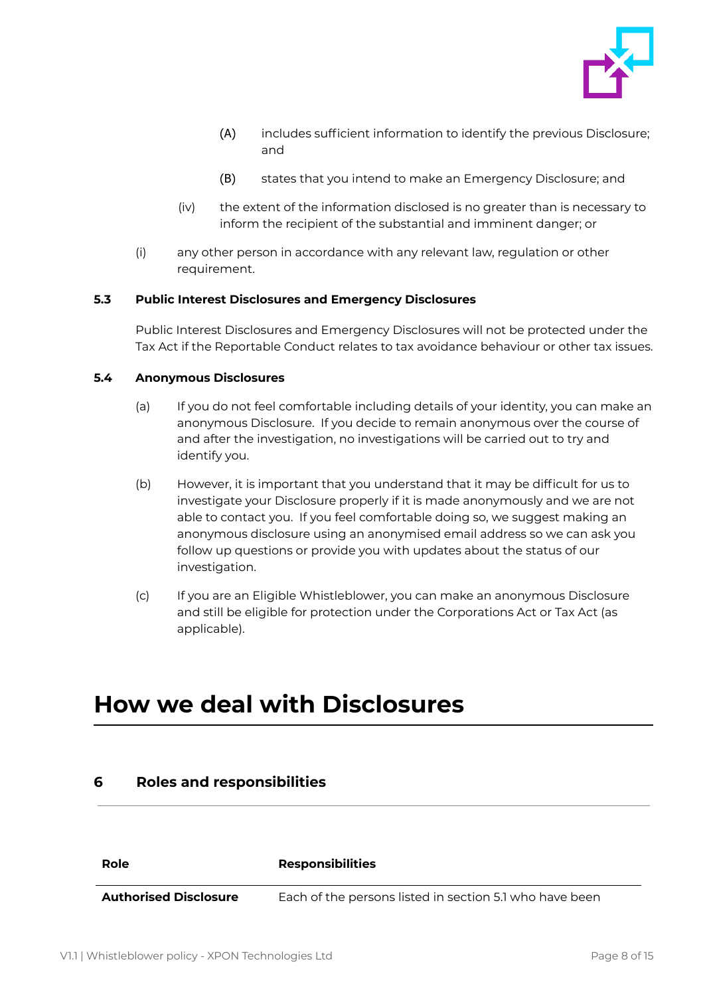

- (A) includes sufficient information to identify the previous Disclosure; and
- (B) states that you intend to make an Emergency Disclosure; and
- (iv) the extent of the information disclosed is no greater than is necessary to inform the recipient of the substantial and imminent danger; or
- (i) any other person in accordance with any relevant law, regulation or other requirement.

## <span id="page-7-0"></span>**5.3 Public Interest Disclosures and Emergency Disclosures**

Public Interest Disclosures and Emergency Disclosures will not be protected under the Tax Act if the Reportable Conduct relates to tax avoidance behaviour or other tax issues.

### <span id="page-7-1"></span>**5.4 Anonymous Disclosures**

- (a) If you do not feel comfortable including details of your identity, you can make an anonymous Disclosure. If you decide to remain anonymous over the course of and after the investigation, no investigations will be carried out to try and identify you.
- (b) However, it is important that you understand that it may be difficult for us to investigate your Disclosure properly if it is made anonymously and we are not able to contact you. If you feel comfortable doing so, we suggest making an anonymous disclosure using an anonymised email address so we can ask you follow up questions or provide you with updates about the status of our investigation.
- (c) If you are an Eligible Whistleblower, you can make an anonymous Disclosure and still be eligible for protection under the Corporations Act or Tax Act (as applicable).

# <span id="page-7-2"></span>**How we deal with Disclosures**

<span id="page-7-3"></span>

| 6                            | <b>Roles and responsibilities</b>                       |  |
|------------------------------|---------------------------------------------------------|--|
|                              |                                                         |  |
| Role                         | <b>Responsibilities</b>                                 |  |
| <b>Authorised Disclosure</b> | Each of the persons listed in section 5.1 who have been |  |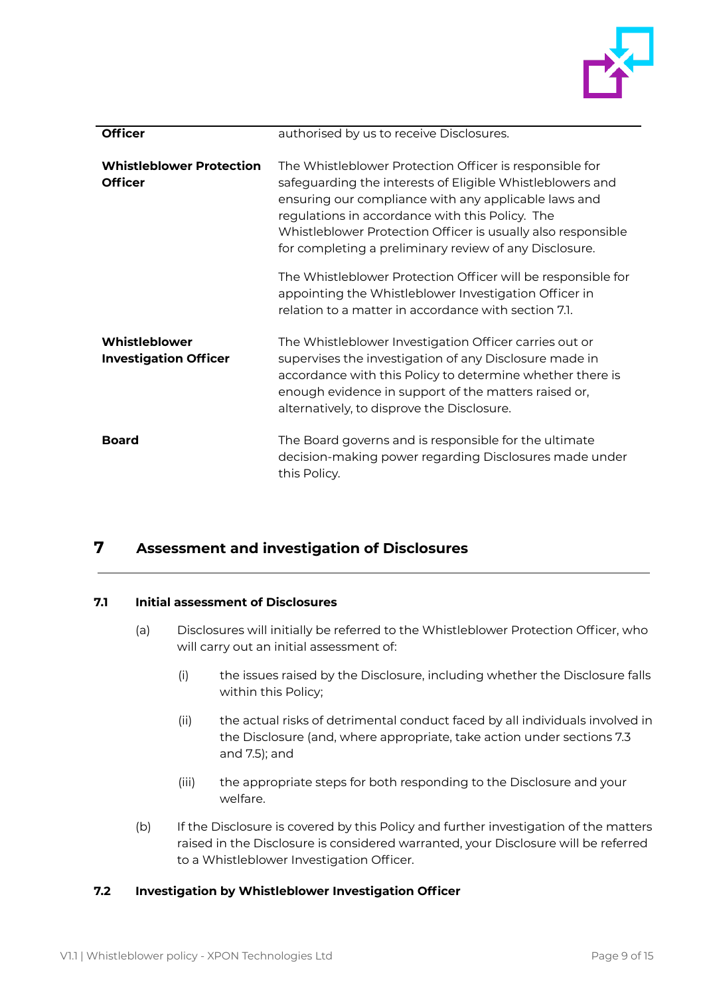

| <b>Officer</b>                                    | authorised by us to receive Disclosures.                                                                                                                                                                                                                                                                                                                  |
|---------------------------------------------------|-----------------------------------------------------------------------------------------------------------------------------------------------------------------------------------------------------------------------------------------------------------------------------------------------------------------------------------------------------------|
| <b>Whistleblower Protection</b><br><b>Officer</b> | The Whistleblower Protection Officer is responsible for<br>safeguarding the interests of Eligible Whistleblowers and<br>ensuring our compliance with any applicable laws and<br>regulations in accordance with this Policy. The<br>Whistleblower Protection Officer is usually also responsible<br>for completing a preliminary review of any Disclosure. |
|                                                   | The Whistleblower Protection Officer will be responsible for<br>appointing the Whistleblower Investigation Officer in<br>relation to a matter in accordance with section 7.1.                                                                                                                                                                             |
| Whistleblower<br><b>Investigation Officer</b>     | The Whistleblower Investigation Officer carries out or<br>supervises the investigation of any Disclosure made in<br>accordance with this Policy to determine whether there is<br>enough evidence in support of the matters raised or,<br>alternatively, to disprove the Disclosure.                                                                       |
| <b>Board</b>                                      | The Board governs and is responsible for the ultimate<br>decision-making power regarding Disclosures made under<br>this Policy.                                                                                                                                                                                                                           |

# <span id="page-8-0"></span>**7 Assessment and investigation of Disclosures**

## <span id="page-8-1"></span>**7.1 Initial assessment of Disclosures**

- (a) Disclosures will initially be referred to the Whistleblower Protection Officer, who will carry out an initial assessment of:
	- (i) the issues raised by the Disclosure, including whether the Disclosure falls within this Policy;
	- (ii) the actual risks of detrimental conduct faced by all individuals involved in the Disclosure (and, where appropriate, take action under sections 7.3 and 7.5); and
	- (iii) the appropriate steps for both responding to the Disclosure and your welfare.
- (b) If the Disclosure is covered by this Policy and further investigation of the matters raised in the Disclosure is considered warranted, your Disclosure will be referred to a Whistleblower Investigation Officer.

## <span id="page-8-2"></span>**7.2 Investigation by Whistleblower Investigation Officer**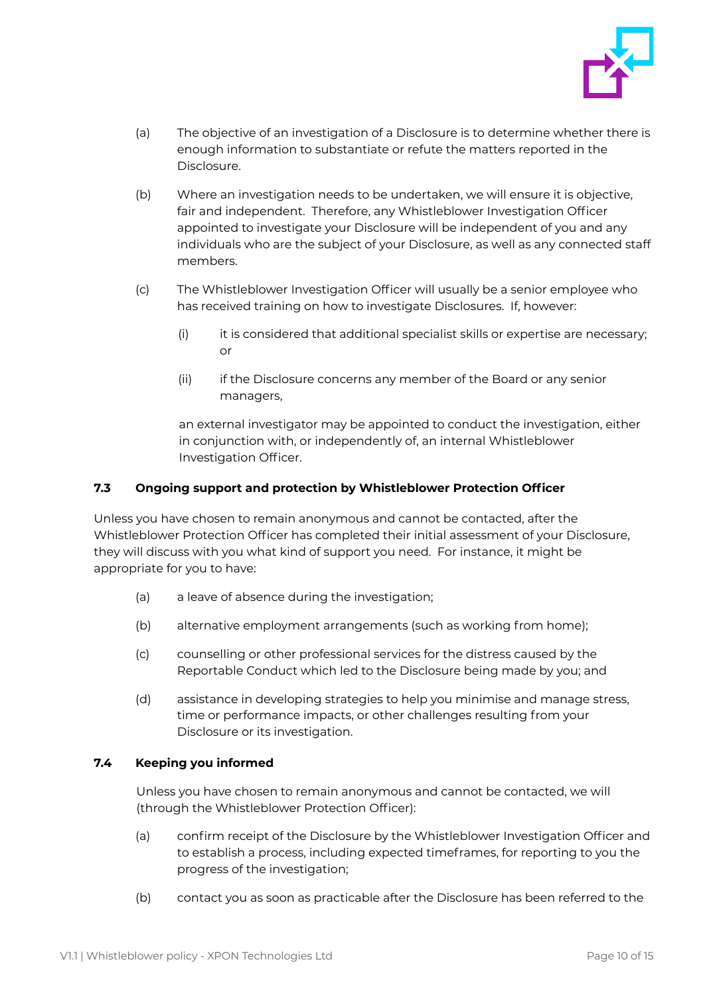

- (a) The objective of an investigation of a Disclosure is to determine whether there is enough information to substantiate or refute the matters reported in the Disclosure.
- (b) Where an investigation needs to be undertaken, we will ensure it is objective, fair and independent. Therefore, any Whistleblower Investigation Officer appointed to investigate your Disclosure will be independent of you and any individuals who are the subject of your Disclosure, as well as any connected staff members.
- (c) The Whistleblower Investigation Officer will usually be a senior employee who has received training on how to investigate Disclosures. If, however:
	- $(i)$  it is considered that additional specialist skills or expertise are necessary; or
	- (ii) if the Disclosure concerns any member of the Board or any senior managers,

an external investigator may be appointed to conduct the investigation, either in conjunction with, or independently of, an internal Whistleblower Investigation Officer.

## <span id="page-9-0"></span>**7.3 Ongoing support and protection by Whistleblower Protection Officer**

Unless you have chosen to remain anonymous and cannot be contacted, after the Whistleblower Protection Officer has completed their initial assessment of your Disclosure, they will discuss with you what kind of support you need. For instance, it might be appropriate for you to have:

- (a) a leave of absence during the investigation;
- (b) alternative employment arrangements (such as working from home);
- (c) counselling or other professional services for the distress caused by the Reportable Conduct which led to the Disclosure being made by you; and
- (d) assistance in developing strategies to help you minimise and manage stress, time or performance impacts, or other challenges resulting from your Disclosure or its investigation.

## <span id="page-9-1"></span>**7.4 Keeping you informed**

Unless you have chosen to remain anonymous and cannot be contacted, we will (through the Whistleblower Protection Officer):

- (a) confirm receipt of the Disclosure by the Whistleblower Investigation Officer and to establish a process, including expected timeframes, for reporting to you the progress of the investigation;
- (b) contact you as soon as practicable after the Disclosure has been referred to the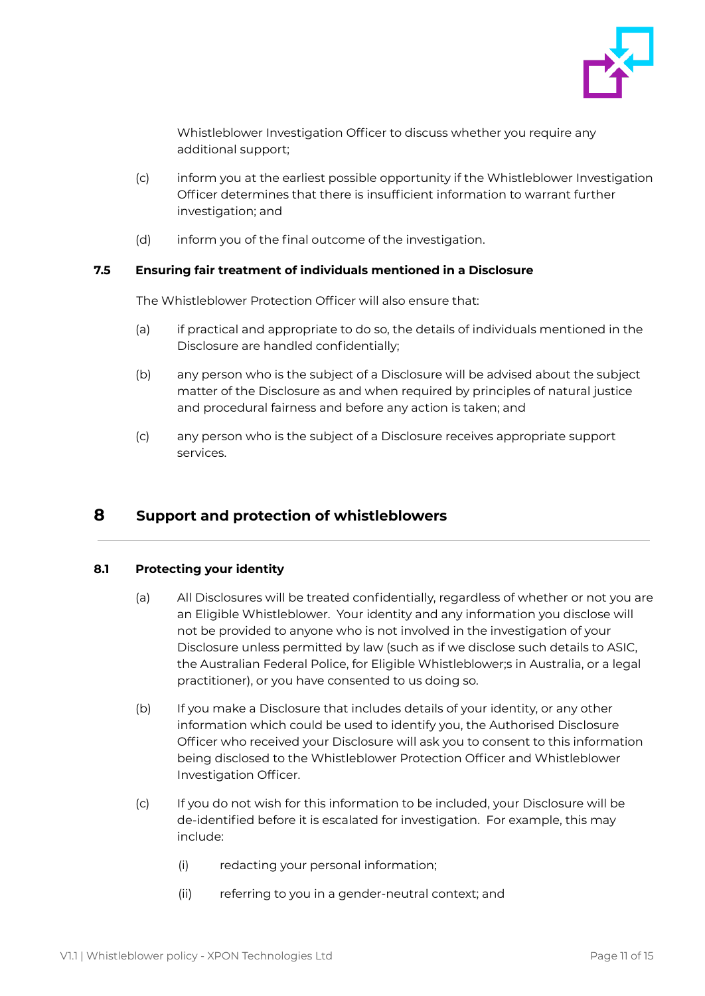

Whistleblower Investigation Officer to discuss whether you require any additional support;

- (c) inform you at the earliest possible opportunity if the Whistleblower Investigation Officer determines that there is insufficient information to warrant further investigation; and
- (d) inform you of the final outcome of the investigation.

### <span id="page-10-0"></span>**7.5 Ensuring fair treatment of individuals mentioned in a Disclosure**

The Whistleblower Protection Officer will also ensure that:

- (a) if practical and appropriate to do so, the details of individuals mentioned in the Disclosure are handled confidentially;
- (b) any person who is the subject of a Disclosure will be advised about the subject matter of the Disclosure as and when required by principles of natural justice and procedural fairness and before any action is taken; and
- (c) any person who is the subject of a Disclosure receives appropriate support services.

# <span id="page-10-1"></span>**8 Support and protection of whistleblowers**

#### <span id="page-10-2"></span>**8.1 Protecting your identity**

- (a) All Disclosures will be treated confidentially, regardless of whether or not you are an Eligible Whistleblower. Your identity and any information you disclose will not be provided to anyone who is not involved in the investigation of your Disclosure unless permitted by law (such as if we disclose such details to ASIC, the Australian Federal Police, for Eligible Whistleblower;s in Australia, or a legal practitioner), or you have consented to us doing so.
- (b) If you make a Disclosure that includes details of your identity, or any other information which could be used to identify you, the Authorised Disclosure Officer who received your Disclosure will ask you to consent to this information being disclosed to the Whistleblower Protection Officer and Whistleblower Investigation Officer.
- (c) If you do not wish for this information to be included, your Disclosure will be de-identified before it is escalated for investigation. For example, this may include:
	- (i) redacting your personal information;
	- (ii) referring to you in a gender-neutral context; and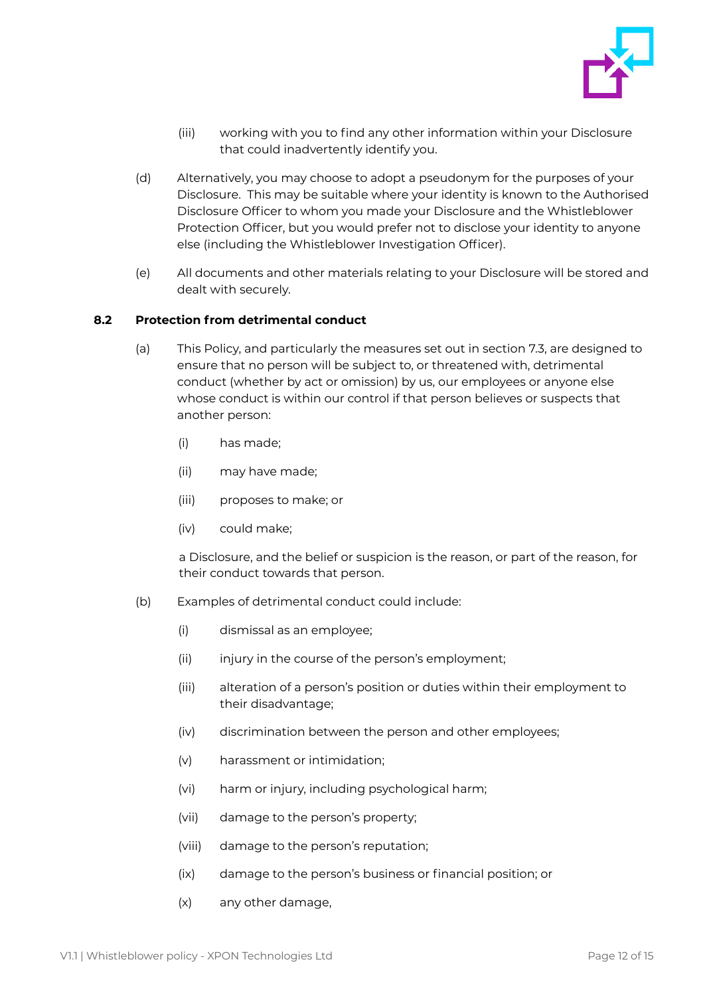

- (iii) working with you to find any other information within your Disclosure that could inadvertently identify you.
- (d) Alternatively, you may choose to adopt a pseudonym for the purposes of your Disclosure. This may be suitable where your identity is known to the Authorised Disclosure Officer to whom you made your Disclosure and the Whistleblower Protection Officer, but you would prefer not to disclose your identity to anyone else (including the Whistleblower Investigation Officer).
- (e) All documents and other materials relating to your Disclosure will be stored and dealt with securely.

### <span id="page-11-0"></span>**8.2 Protection from detrimental conduct**

- (a) This Policy, and particularly the measures set out in section 7.3, are designed to ensure that no person will be subject to, or threatened with, detrimental conduct (whether by act or omission) by us, our employees or anyone else whose conduct is within our control if that person believes or suspects that another person:
	- (i) has made;
	- (ii) may have made;
	- (iii) proposes to make; or
	- (iv) could make;

a Disclosure, and the belief or suspicion is the reason, or part of the reason, for their conduct towards that person.

- (b) Examples of detrimental conduct could include:
	- (i) dismissal as an employee;
	- (ii) injury in the course of the person's employment;
	- (iii) alteration of a person's position or duties within their employment to their disadvantage;
	- (iv) discrimination between the person and other employees;
	- (v) harassment or intimidation;
	- (vi) harm or injury, including psychological harm;
	- (vii) damage to the person's property;
	- (viii) damage to the person's reputation;
	- (ix) damage to the person's business or financial position; or
	- (x) any other damage,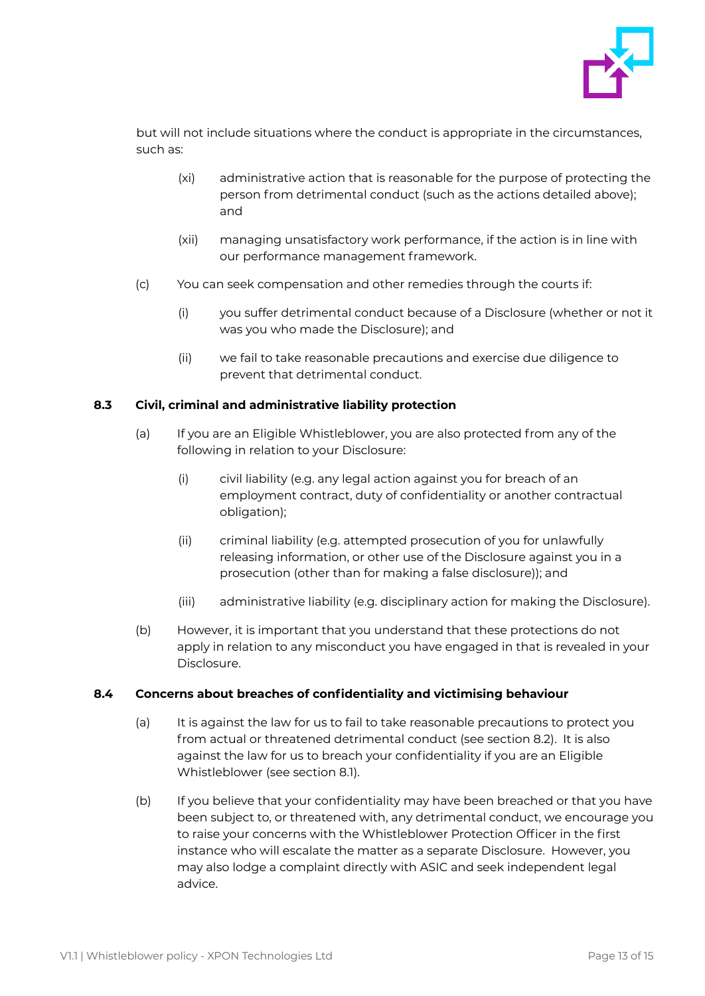

but will not include situations where the conduct is appropriate in the circumstances, such as:

- (xi) administrative action that is reasonable for the purpose of protecting the person from detrimental conduct (such as the actions detailed above); and
- (xii) managing unsatisfactory work performance, if the action is in line with our performance management framework.
- (c) You can seek compensation and other remedies through the courts if:
	- (i) you suffer detrimental conduct because of a Disclosure (whether or not it was you who made the Disclosure); and
	- (ii) we fail to take reasonable precautions and exercise due diligence to prevent that detrimental conduct.

### <span id="page-12-0"></span>**8.3 Civil, criminal and administrative liability protection**

- (a) If you are an Eligible Whistleblower, you are also protected from any of the following in relation to your Disclosure:
	- (i) civil liability (e.g. any legal action against you for breach of an employment contract, duty of confidentiality or another contractual obligation);
	- (ii) criminal liability (e.g. attempted prosecution of you for unlawfully releasing information, or other use of the Disclosure against you in a prosecution (other than for making a false disclosure)); and
	- (iii) administrative liability (e.g. disciplinary action for making the Disclosure).
- (b) However, it is important that you understand that these protections do not apply in relation to any misconduct you have engaged in that is revealed in your Disclosure.

#### <span id="page-12-1"></span>**8.4 Concerns about breaches of confidentiality and victimising behaviour**

- (a) It is against the law for us to fail to take reasonable precautions to protect you from actual or threatened detrimental conduct (see section 8.2). It is also against the law for us to breach your confidentiality if you are an Eligible Whistleblower (see section 8.1).
- (b) If you believe that your confidentiality may have been breached or that you have been subject to, or threatened with, any detrimental conduct, we encourage you to raise your concerns with the Whistleblower Protection Officer in the first instance who will escalate the matter as a separate Disclosure. However, you may also lodge a complaint directly with ASIC and seek independent legal advice.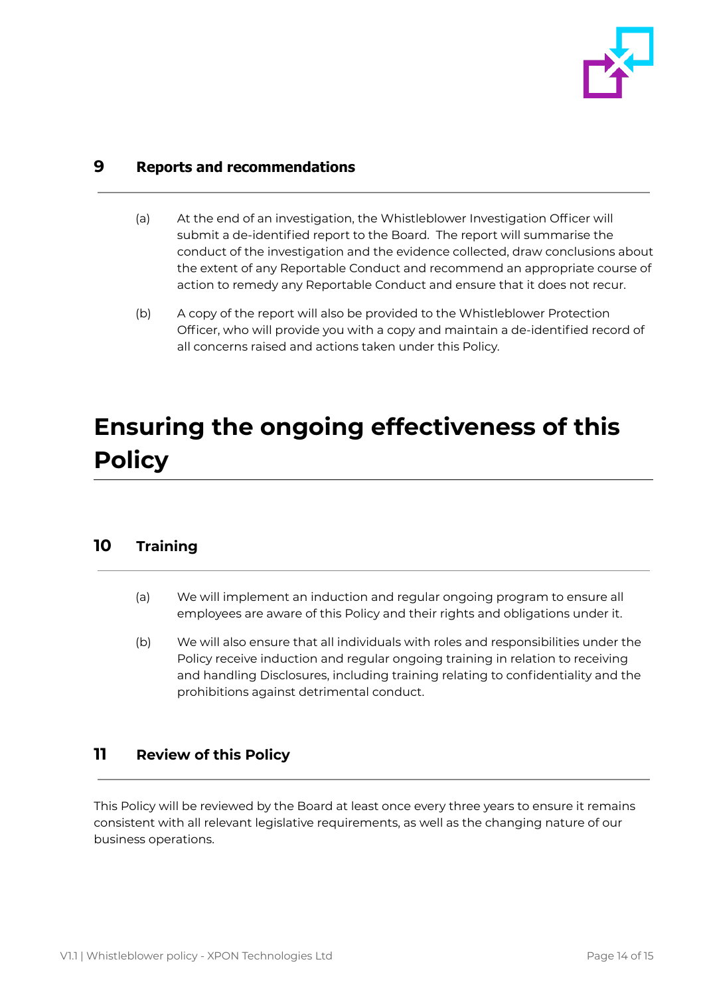

## <span id="page-13-0"></span>**9 Reports and recommendations**

- (a) At the end of an investigation, the Whistleblower Investigation Officer will submit a de-identified report to the Board. The report will summarise the conduct of the investigation and the evidence collected, draw conclusions about the extent of any Reportable Conduct and recommend an appropriate course of action to remedy any Reportable Conduct and ensure that it does not recur.
- (b) A copy of the report will also be provided to the Whistleblower Protection Officer, who will provide you with a copy and maintain a de-identified record of all concerns raised and actions taken under this Policy.

# <span id="page-13-1"></span>**Ensuring the ongoing effectiveness of this Policy**

# <span id="page-13-2"></span>**10 Training**

- (a) We will implement an induction and regular ongoing program to ensure all employees are aware of this Policy and their rights and obligations under it.
- (b) We will also ensure that all individuals with roles and responsibilities under the Policy receive induction and regular ongoing training in relation to receiving and handling Disclosures, including training relating to confidentiality and the prohibitions against detrimental conduct.

# <span id="page-13-3"></span>**11 Review of this Policy**

This Policy will be reviewed by the Board at least once every three years to ensure it remains consistent with all relevant legislative requirements, as well as the changing nature of our business operations.